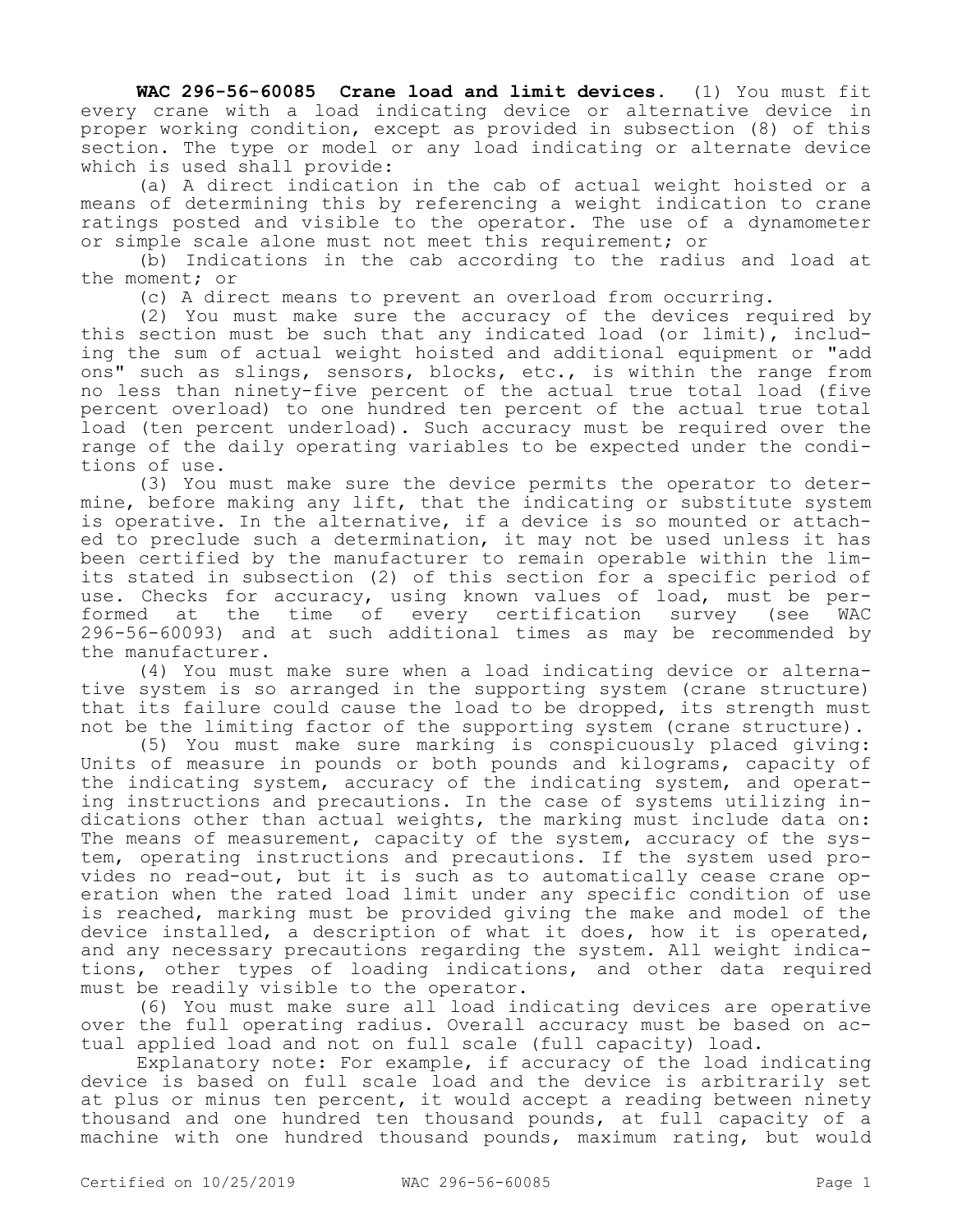**WAC 296-56-60085 Crane load and limit devices.** (1) You must fit every crane with a load indicating device or alternative device in proper working condition, except as provided in subsection (8) of this section. The type or model or any load indicating or alternate device which is used shall provide:

(a) A direct indication in the cab of actual weight hoisted or a means of determining this by referencing a weight indication to crane ratings posted and visible to the operator. The use of a dynamometer or simple scale alone must not meet this requirement; or

(b) Indications in the cab according to the radius and load at the moment; or

(c) A direct means to prevent an overload from occurring.

(2) You must make sure the accuracy of the devices required by this section must be such that any indicated load (or limit), including the sum of actual weight hoisted and additional equipment or "add ons" such as slings, sensors, blocks, etc., is within the range from no less than ninety-five percent of the actual true total load (five percent overload) to one hundred ten percent of the actual true total load (ten percent underload). Such accuracy must be required over the range of the daily operating variables to be expected under the conditions of use.

(3) You must make sure the device permits the operator to determine, before making any lift, that the indicating or substitute system is operative. In the alternative, if a device is so mounted or attached to preclude such a determination, it may not be used unless it has been certified by the manufacturer to remain operable within the limits stated in subsection (2) of this section for a specific period of use. Checks for accuracy, using known values of load, must be performed at the time of every certification survey (see WAC 296-56-60093) and at such additional times as may be recommended by the manufacturer.

(4) You must make sure when a load indicating device or alternative system is so arranged in the supporting system (crane structure) that its failure could cause the load to be dropped, its strength must not be the limiting factor of the supporting system (crane structure).

(5) You must make sure marking is conspicuously placed giving: Units of measure in pounds or both pounds and kilograms, capacity of the indicating system, accuracy of the indicating system, and operating instructions and precautions. In the case of systems utilizing indications other than actual weights, the marking must include data on: The means of measurement, capacity of the system, accuracy of the system, operating instructions and precautions. If the system used provides no read-out, but it is such as to automatically cease crane operation when the rated load limit under any specific condition of use is reached, marking must be provided giving the make and model of the device installed, a description of what it does, how it is operated, and any necessary precautions regarding the system. All weight indications, other types of loading indications, and other data required must be readily visible to the operator.

(6) You must make sure all load indicating devices are operative over the full operating radius. Overall accuracy must be based on actual applied load and not on full scale (full capacity) load.

Explanatory note: For example, if accuracy of the load indicating device is based on full scale load and the device is arbitrarily set at plus or minus ten percent, it would accept a reading between ninety thousand and one hundred ten thousand pounds, at full capacity of a machine with one hundred thousand pounds, maximum rating, but would